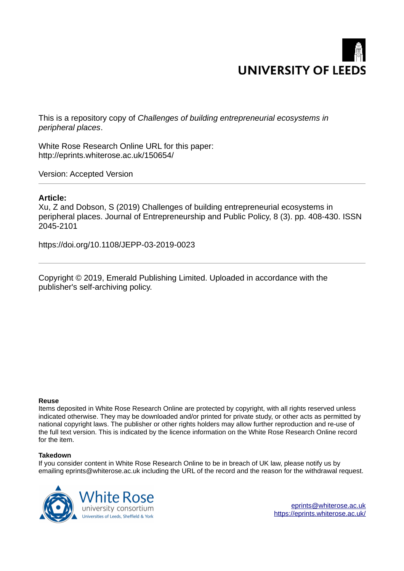

This is a repository copy of *Challenges of building entrepreneurial ecosystems in peripheral places*.

White Rose Research Online URL for this paper: http://eprints.whiterose.ac.uk/150654/

Version: Accepted Version

#### **Article:**

Xu, Z and Dobson, S (2019) Challenges of building entrepreneurial ecosystems in peripheral places. Journal of Entrepreneurship and Public Policy, 8 (3). pp. 408-430. ISSN 2045-2101

https://doi.org/10.1108/JEPP-03-2019-0023

Copyright © 2019, Emerald Publishing Limited. Uploaded in accordance with the publisher's self-archiving policy.

#### **Reuse**

Items deposited in White Rose Research Online are protected by copyright, with all rights reserved unless indicated otherwise. They may be downloaded and/or printed for private study, or other acts as permitted by national copyright laws. The publisher or other rights holders may allow further reproduction and re-use of the full text version. This is indicated by the licence information on the White Rose Research Online record for the item.

#### **Takedown**

If you consider content in White Rose Research Online to be in breach of UK law, please notify us by emailing eprints@whiterose.ac.uk including the URL of the record and the reason for the withdrawal request.



[eprints@whiterose.ac.uk](mailto:eprints@whiterose.ac.uk) <https://eprints.whiterose.ac.uk/>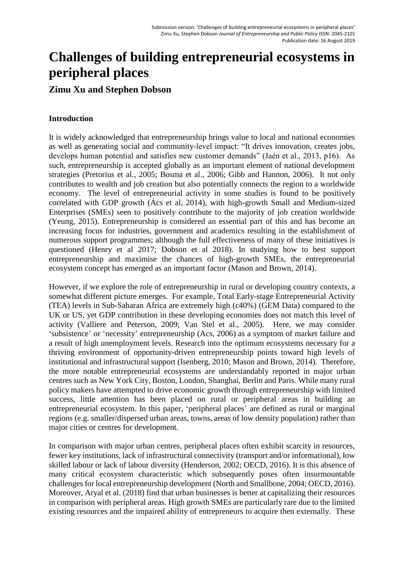# **Challenges of building entrepreneurial ecosystems in peripheral places**

# **Zimu Xu and Stephen Dobson**

# **Introduction**

It is widely acknowledged that entrepreneurship brings value to local and national economies as well as generating social and community-level impact: "It drives innovation, creates jobs, develops human potential and satisfies new customer demands" (Jaén et al., 2013, p16). As such, entrepreneurship is accepted globally as an important element of national development strategies (Pretorius et al., 2005; Bosma et al., 2006; Gibb and Hannon, 2006). It not only contributes to wealth and job creation but also potentially connects the region to a worldwide economy. The level of entrepreneurial activity in some studies is found to be positively correlated with GDP growth (Ács et al, 2014), with high-growth Small and Medium-sized Enterprises (SMEs) seen to positively contribute to the majority of job creation worldwide (Yeung, 2015). Entrepreneurship is considered an essential part of this and has become an increasing focus for industries, government and academics resulting in the establishment of numerous support programmes; although the full effectiveness of many of these initiatives is questioned (Henry et al 2017; Dobson et al 2018). In studying how to best support entrepreneurship and maximise the chances of high-growth SMEs, the entrepreneurial ecosystem concept has emerged as an important factor (Mason and Brown, 2014).

However, if we explore the role of entrepreneurship in rural or developing country contexts, a somewhat different picture emerges. For example, Total Early-stage Entrepreneurial Activity (TEA) levels in Sub-Saharan Africa are extremely high (c40%) (GEM Data) compared to the UK or US, yet GDP contribution in these developing economies does not match this level of activity (Valliere and Peterson, 2009; Van Stel et al., 2005). Here, we may consider 'subsistence' or 'necessity' entrepreneurship (Acs, 2006) as a symptom of market failure and a result of high unemployment levels. Research into the optimum ecosystems necessary for a thriving environment of opportunity-driven entrepreneurship points toward high levels of institutional and infrastructural support (Isenberg, 2010; Mason and Brown, 2014). Therefore, the more notable entrepreneurial ecosystems are understandably reported in major urban centres such as New York City, Boston, London, Shanghai, Berlin and Paris. While many rural policy makers have attempted to drive economic growth through entrepreneurship with limited success, little attention has been placed on rural or peripheral areas in building an entrepreneurial ecosystem. In this paper, 'peripheral places' are defined as rural or marginal regions (e.g. smaller/dispersed urban areas, towns, areas of low density population) rather than major cities or centres for development.

In comparison with major urban centres, peripheral places often exhibit scarcity in resources, fewer key institutions, lack of infrastructural connectivity (transport and/or informational), low skilled labour or lack of labour diversity (Henderson, 2002; OECD, 2016). It is this absence of many critical ecosystem characteristic which subsequently poses often insurmountable challenges for local entrepreneurship development (North and Smallbone, 2004; OECD, 2016). Moreover, Aryal et al. (2018) find that urban businesses is better at capitalizing their resources in comparison with peripheral areas. High growth SMEs are particularly rare due to the limited existing resources and the impaired ability of entrepreneurs to acquire then externally. These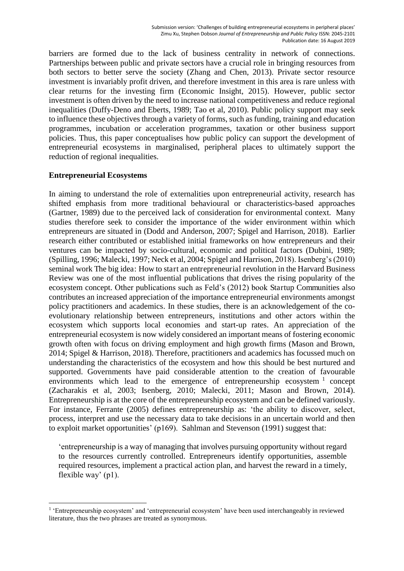barriers are formed due to the lack of business centrality in network of connections. Partnerships between public and private sectors have a crucial role in bringing resources from both sectors to better serve the society (Zhang and Chen, 2013). Private sector resource investment is invariably profit driven, and therefore investment in this area is rare unless with clear returns for the investing firm (Economic Insight, 2015). However, public sector investment is often driven by the need to increase national competitiveness and reduce regional inequalities (Duffy-Deno and Eberts, 1989; Tao et al, 2010). Public policy support may seek to influence these objectives through a variety of forms, such as funding, training and education programmes, incubation or acceleration programmes, taxation or other business support policies. Thus, this paper conceptualises how public policy can support the development of entrepreneurial ecosystems in marginalised, peripheral places to ultimately support the reduction of regional inequalities.

# **Entrepreneurial Ecosystems**

<u>.</u>

In aiming to understand the role of externalities upon entrepreneurial activity, research has shifted emphasis from more traditional behavioural or characteristics-based approaches (Gartner, 1989) due to the perceived lack of consideration for environmental context. Many studies therefore seek to consider the importance of the wider environment within which entrepreneurs are situated in (Dodd and Anderson, 2007; Spigel and Harrison, 2018). Earlier research either contributed or established initial frameworks on how entrepreneurs and their ventures can be impacted by socio-cultural, economic and political factors (Dubini, 1989; (Spilling, 1996; Malecki, 1997; Neck et al, 2004; Spigel and Harrison, 2018). Isenberg's (2010) seminal work The big idea: How to start an entrepreneurial revolution in the Harvard Business Review was one of the most influential publications that drives the rising popularity of the ecosystem concept. Other publications such as Feld's (2012) book Startup Communities also contributes an increased appreciation of the importance entrepreneurial environments amongst policy practitioners and academics. In these studies, there is an acknowledgement of the coevolutionary relationship between entrepreneurs, institutions and other actors within the ecosystem which supports local economies and start-up rates. An appreciation of the entrepreneurial ecosystem is now widely considered an important means of fostering economic growth often with focus on driving employment and high growth firms (Mason and Brown, 2014; Spigel & Harrison, 2018). Therefore, practitioners and academics has focussed much on understanding the characteristics of the ecosystem and how this should be best nurtured and supported. Governments have paid considerable attention to the creation of favourable environments which lead to the emergence of entrepreneurship ecosystem  $1$  concept (Zacharakis et al, 2003; Isenberg, 2010; Malecki, 2011; Mason and Brown, 2014). Entrepreneurship is at the core of the entrepreneurship ecosystem and can be defined variously. For instance, Ferrante (2005) defines entrepreneurship as: 'the ability to discover, select, process, interpret and use the necessary data to take decisions in an uncertain world and then to exploit market opportunities' (p169). Sahlman and Stevenson (1991) suggest that:

'entrepreneurship is a way of managing that involves pursuing opportunity without regard to the resources currently controlled. Entrepreneurs identify opportunities, assemble required resources, implement a practical action plan, and harvest the reward in a timely, flexible way' (p1).

<sup>&</sup>lt;sup>1</sup> 'Entrepreneurship ecosystem' and 'entrepreneurial ecosystem' have been used interchangeably in reviewed literature, thus the two phrases are treated as synonymous.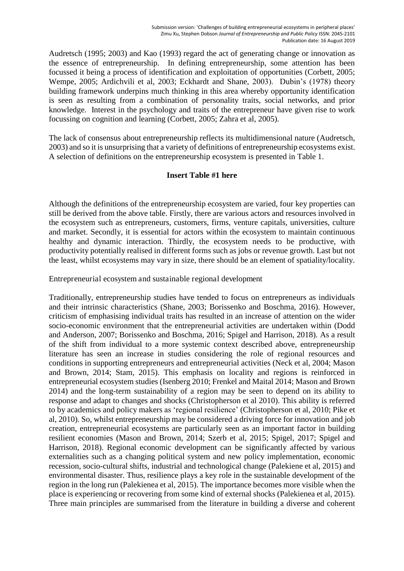Audretsch (1995; 2003) and Kao (1993) regard the act of generating change or innovation as the essence of entrepreneurship. In defining entrepreneurship, some attention has been focussed it being a process of identification and exploitation of opportunities (Corbett, 2005; Wempe, 2005; Ardichvili et al, 2003; Eckhardt and Shane, 2003). Dubin's (1978) theory building framework underpins much thinking in this area whereby opportunity identification is seen as resulting from a combination of personality traits, social networks, and prior knowledge. Interest in the psychology and traits of the entrepreneur have given rise to work focussing on cognition and learning (Corbett, 2005; Zahra et al, 2005).

The lack of consensus about entrepreneurship reflects its multidimensional nature (Audretsch, 2003) and so it is unsurprising that a variety of definitions of entrepreneurship ecosystems exist. A selection of definitions on the entrepreneurship ecosystem is presented in Table 1.

# **Insert Table #1 here**

Although the definitions of the entrepreneurship ecosystem are varied, four key properties can still be derived from the above table. Firstly, there are various actors and resources involved in the ecosystem such as entrepreneurs, customers, firms, venture capitals, universities, culture and market. Secondly, it is essential for actors within the ecosystem to maintain continuous healthy and dynamic interaction. Thirdly, the ecosystem needs to be productive, with productivity potentially realised in different forms such as jobs or revenue growth. Last but not the least, whilst ecosystems may vary in size, there should be an element of spatiality/locality.

Entrepreneurial ecosystem and sustainable regional development

Traditionally, entrepreneurship studies have tended to focus on entrepreneurs as individuals and their intrinsic characteristics (Shane, 2003; Borissenko and Boschma, 2016). However, criticism of emphasising individual traits has resulted in an increase of attention on the wider socio-economic environment that the entrepreneurial activities are undertaken within (Dodd and Anderson, 2007; Borissenko and Boschma, 2016; Spigel and Harrison, 2018). As a result of the shift from individual to a more systemic context described above, entrepreneurship literature has seen an increase in studies considering the role of regional resources and conditions in supporting entrepreneurs and entrepreneurial activities (Neck et al, 2004; Mason and Brown, 2014; Stam, 2015). This emphasis on locality and regions is reinforced in entrepreneurial ecosystem studies (Isenberg 2010; Frenkel and Maital 2014; Mason and Brown 2014) and the long-term sustainability of a region may be seen to depend on its ability to response and adapt to changes and shocks (Christopherson et al 2010). This ability is referred to by academics and policy makers as 'regional resilience' (Christopherson et al, 2010; Pike et al, 2010). So, whilst entrepreneurship may be considered a driving force for innovation and job creation, entrepreneurial ecosystems are particularly seen as an important factor in building resilient economies (Mason and Brown, 2014; Szerb et al, 2015; Spigel, 2017; Spigel and Harrison, 2018). Regional economic development can be significantly affected by various externalities such as a changing political system and new policy implementation, economic recession, socio-cultural shifts, industrial and technological change (Palekiene et al, 2015) and environmental disaster. Thus, resilience plays a key role in the sustainable development of the region in the long run (Palekienea et al, 2015). The importance becomes more visible when the place is experiencing or recovering from some kind of external shocks (Palekienea et al, 2015). Three main principles are summarised from the literature in building a diverse and coherent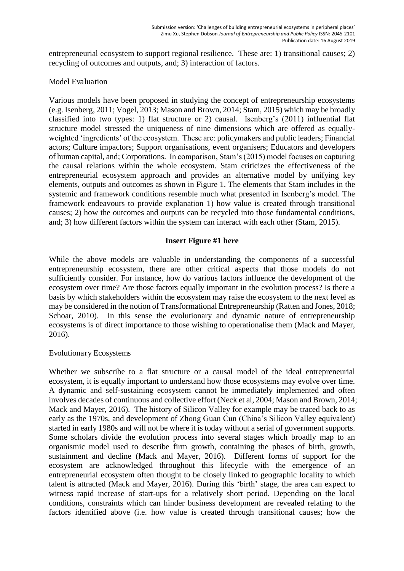entrepreneurial ecosystem to support regional resilience. These are: 1) transitional causes; 2) recycling of outcomes and outputs, and; 3) interaction of factors.

# Model Evaluation

Various models have been proposed in studying the concept of entrepreneurship ecosystems (e.g. Isenberg, 2011; Vogel, 2013; Mason and Brown, 2014; Stam, 2015) which may be broadly classified into two types: 1) flat structure or 2) causal. Isenberg's (2011) influential flat structure model stressed the uniqueness of nine dimensions which are offered as equallyweighted 'ingredients' of the ecosystem. These are: policymakers and public leaders; Financial actors; Culture impactors; Support organisations, event organisers; Educators and developers of human capital, and; Corporations. In comparison, Stam's (2015) model focuses on capturing the causal relations within the whole ecosystem. Stam criticizes the effectiveness of the entrepreneurial ecosystem approach and provides an alternative model by unifying key elements, outputs and outcomes as shown in Figure 1. The elements that Stam includes in the systemic and framework conditions resemble much what presented in Isenberg's model. The framework endeavours to provide explanation 1) how value is created through transitional causes; 2) how the outcomes and outputs can be recycled into those fundamental conditions, and; 3) how different factors within the system can interact with each other (Stam, 2015).

# **Insert Figure #1 here**

While the above models are valuable in understanding the components of a successful entrepreneurship ecosystem, there are other critical aspects that those models do not sufficiently consider. For instance, how do various factors influence the development of the ecosystem over time? Are those factors equally important in the evolution process? Is there a basis by which stakeholders within the ecosystem may raise the ecosystem to the next level as may be considered in the notion of Transformational Entrepreneurship (Ratten and Jones, 2018; Schoar, 2010). In this sense the evolutionary and dynamic nature of entrepreneurship ecosystems is of direct importance to those wishing to operationalise them (Mack and Mayer, 2016).

## Evolutionary Ecosystems

Whether we subscribe to a flat structure or a causal model of the ideal entrepreneurial ecosystem, it is equally important to understand how those ecosystems may evolve over time. A dynamic and self-sustaining ecosystem cannot be immediately implemented and often involves decades of continuous and collective effort (Neck et al, 2004; Mason and Brown, 2014; Mack and Mayer, 2016). The history of Silicon Valley for example may be traced back to as early as the 1970s, and development of Zhong Guan Cun (China's Silicon Valley equivalent) started in early 1980s and will not be where it is today without a serial of government supports. Some scholars divide the evolution process into several stages which broadly map to an organismic model used to describe firm growth, containing the phases of birth, growth, sustainment and decline (Mack and Mayer, 2016). Different forms of support for the ecosystem are acknowledged throughout this lifecycle with the emergence of an entrepreneurial ecosystem often thought to be closely linked to geographic locality to which talent is attracted (Mack and Mayer, 2016). During this 'birth' stage, the area can expect to witness rapid increase of start-ups for a relatively short period. Depending on the local conditions, constraints which can hinder business development are revealed relating to the factors identified above (i.e. how value is created through transitional causes; how the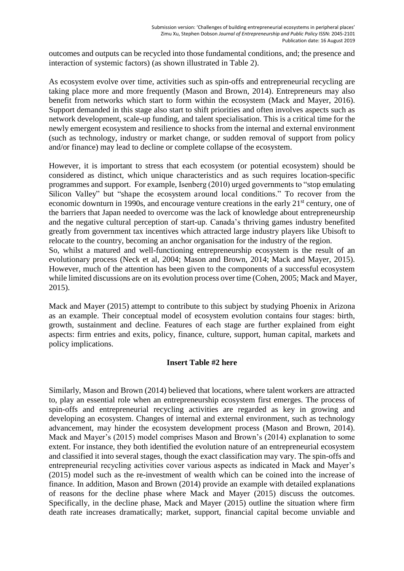outcomes and outputs can be recycled into those fundamental conditions, and; the presence and interaction of systemic factors) (as shown illustrated in Table 2).

As ecosystem evolve over time, activities such as spin-offs and entrepreneurial recycling are taking place more and more frequently (Mason and Brown, 2014). Entrepreneurs may also benefit from networks which start to form within the ecosystem (Mack and Mayer, 2016). Support demanded in this stage also start to shift priorities and often involves aspects such as network development, scale-up funding, and talent specialisation. This is a critical time for the newly emergent ecosystem and resilience to shocks from the internal and external environment (such as technology, industry or market change, or sudden removal of support from policy and/or finance) may lead to decline or complete collapse of the ecosystem.

However, it is important to stress that each ecosystem (or potential ecosystem) should be considered as distinct, which unique characteristics and as such requires location-specific programmes and support. For example, Isenberg (2010) urged governments to "stop emulating Silicon Valley" but "shape the ecosystem around local conditions." To recover from the economic downturn in 1990s, and encourage venture creations in the early 21<sup>st</sup> century, one of the barriers that Japan needed to overcome was the lack of knowledge about entrepreneurship and the negative cultural perception of start-up. Canada's thriving games industry benefited greatly from government tax incentives which attracted large industry players like Ubisoft to relocate to the country, becoming an anchor organisation for the industry of the region. So, whilst a matured and well-functioning entrepreneurship ecosystem is the result of an evolutionary process (Neck et al, 2004; Mason and Brown, 2014; Mack and Mayer, 2015). However, much of the attention has been given to the components of a successful ecosystem while limited discussions are on its evolution process over time (Cohen, 2005; Mack and Mayer, 2015).

Mack and Mayer (2015) attempt to contribute to this subject by studying Phoenix in Arizona as an example. Their conceptual model of ecosystem evolution contains four stages: birth, growth, sustainment and decline. Features of each stage are further explained from eight aspects: firm entries and exits, policy, finance, culture, support, human capital, markets and policy implications.

## **Insert Table #2 here**

Similarly, Mason and Brown (2014) believed that locations, where talent workers are attracted to, play an essential role when an entrepreneurship ecosystem first emerges. The process of spin-offs and entrepreneurial recycling activities are regarded as key in growing and developing an ecosystem. Changes of internal and external environment, such as technology advancement, may hinder the ecosystem development process (Mason and Brown, 2014). Mack and Mayer's (2015) model comprises Mason and Brown's (2014) explanation to some extent. For instance, they both identified the evolution nature of an entrepreneurial ecosystem and classified it into several stages, though the exact classification may vary. The spin-offs and entrepreneurial recycling activities cover various aspects as indicated in Mack and Mayer's (2015) model such as the re-investment of wealth which can be coined into the increase of finance. In addition, Mason and Brown (2014) provide an example with detailed explanations of reasons for the decline phase where Mack and Mayer (2015) discuss the outcomes. Specifically, in the decline phase, Mack and Mayer (2015) outline the situation where firm death rate increases dramatically; market, support, financial capital become unviable and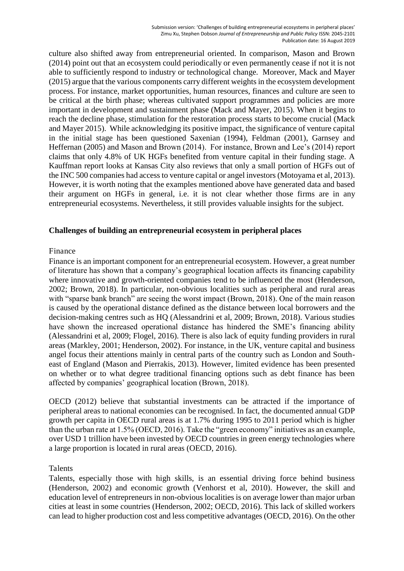culture also shifted away from entrepreneurial oriented. In comparison, Mason and Brown (2014) point out that an ecosystem could periodically or even permanently cease if not it is not able to sufficiently respond to industry or technological change. Moreover, Mack and Mayer (2015) argue that the various components carry different weights in the ecosystem development process. For instance, market opportunities, human resources, finances and culture are seen to be critical at the birth phase; whereas cultivated support programmes and policies are more important in development and sustainment phase (Mack and Mayer, 2015). When it begins to reach the decline phase, stimulation for the restoration process starts to become crucial (Mack and Mayer 2015). While acknowledging its positive impact, the significance of venture capital in the initial stage has been questioned Saxenian (1994), Feldman (2001), Garnsey and Heffernan (2005) and Mason and Brown (2014). For instance, Brown and Lee's (2014) report claims that only 4.8% of UK HGFs benefited from venture capital in their funding stage. A Kauffman report looks at Kansas City also reviews that only a small portion of HGFs out of the INC 500 companies had access to venture capital or angel investors (Motoyama et al, 2013). However, it is worth noting that the examples mentioned above have generated data and based their argument on HGFs in general, i.e. it is not clear whether those firms are in any entrepreneurial ecosystems. Nevertheless, it still provides valuable insights for the subject.

## **Challenges of building an entrepreneurial ecosystem in peripheral places**

# Finance

Finance is an important component for an entrepreneurial ecosystem. However, a great number of literature has shown that a company's geographical location affects its financing capability where innovative and growth-oriented companies tend to be influenced the most (Henderson, 2002; Brown, 2018). In particular, non-obvious localities such as peripheral and rural areas with "sparse bank branch" are seeing the worst impact (Brown, 2018). One of the main reason is caused by the operational distance defined as the distance between local borrowers and the decision-making centres such as HQ (Alessandrini et al, 2009; Brown, 2018). Various studies have shown the increased operational distance has hindered the SME's financing ability (Alessandrini et al, 2009; Flogel, 2016). There is also lack of equity funding providers in rural areas (Markley, 2001; Henderson, 2002). For instance, in the UK, venture capital and business angel focus their attentions mainly in central parts of the country such as London and Southeast of England (Mason and Pierrakis, 2013). However, limited evidence has been presented on whether or to what degree traditional financing options such as debt finance has been affected by companies' geographical location (Brown, 2018).

OECD (2012) believe that substantial investments can be attracted if the importance of peripheral areas to national economies can be recognised. In fact, the documented annual GDP growth per capita in OECD rural areas is at 1.7% during 1995 to 2011 period which is higher than the urban rate at 1.5% (OECD, 2016). Take the "green economy" initiatives as an example, over USD 1 trillion have been invested by OECD countries in green energy technologies where a large proportion is located in rural areas (OECD, 2016).

# Talents

Talents, especially those with high skills, is an essential driving force behind business (Henderson, 2002) and economic growth (Venhorst et al, 2010). However, the skill and education level of entrepreneurs in non-obvious localities is on average lower than major urban cities at least in some countries (Henderson, 2002; OECD, 2016). This lack of skilled workers can lead to higher production cost and less competitive advantages (OECD, 2016). On the other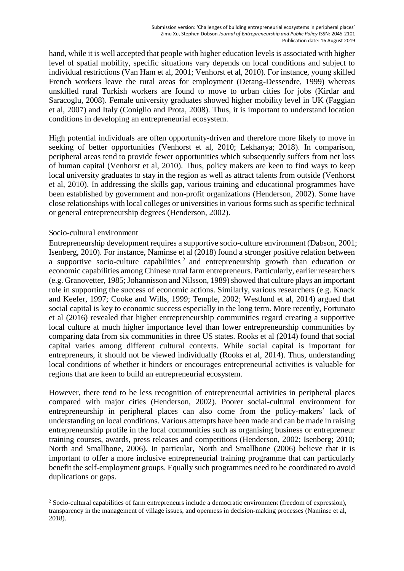hand, while it is well accepted that people with higher education levels is associated with higher level of spatial mobility, specific situations vary depends on local conditions and subject to individual restrictions (Van Ham et al, 2001; Venhorst et al, 2010). For instance, young skilled French workers leave the rural areas for employment (Detang-Dessendre, 1999) whereas unskilled rural Turkish workers are found to move to urban cities for jobs (Kirdar and Saracoglu, 2008). Female university graduates showed higher mobility level in UK (Faggian et al, 2007) and Italy (Coniglio and Prota, 2008). Thus, it is important to understand location conditions in developing an entrepreneurial ecosystem.

High potential individuals are often opportunity-driven and therefore more likely to move in seeking of better opportunities (Venhorst et al, 2010; Lekhanya; 2018). In comparison, peripheral areas tend to provide fewer opportunities which subsequently suffers from net loss of human capital (Venhorst et al, 2010). Thus, policy makers are keen to find ways to keep local university graduates to stay in the region as well as attract talents from outside (Venhorst et al, 2010). In addressing the skills gap, various training and educational programmes have been established by government and non-profit organizations (Henderson, 2002). Some have close relationships with local colleges or universities in various forms such as specific technical or general entrepreneurship degrees (Henderson, 2002).

## Socio-cultural environment

-

Entrepreneurship development requires a supportive socio-culture environment (Dabson, 2001; Isenberg, 2010). For instance, Naminse et al (2018) found a stronger positive relation between a supportive socio-culture capabilities<sup>2</sup> and entrepreneurship growth than education or economic capabilities among Chinese rural farm entrepreneurs. Particularly, earlier researchers (e.g. Granovetter, 1985; Johannisson and Nilsson, 1989) showed that culture plays an important role in supporting the success of economic actions. Similarly, various researchers (e.g. Knack and Keefer, 1997; Cooke and Wills, 1999; Temple, 2002; Westlund et al, 2014) argued that social capital is key to economic success especially in the long term. More recently, Fortunato et al (2016) revealed that higher entrepreneurship communities regard creating a supportive local culture at much higher importance level than lower entrepreneurship communities by comparing data from six communities in three US states. Rooks et al (2014) found that social capital varies among different cultural contexts. While social capital is important for entrepreneurs, it should not be viewed individually (Rooks et al, 2014). Thus, understanding local conditions of whether it hinders or encourages entrepreneurial activities is valuable for regions that are keen to build an entrepreneurial ecosystem.

However, there tend to be less recognition of entrepreneurial activities in peripheral places compared with major cities (Henderson, 2002). Poorer social-cultural environment for entrepreneurship in peripheral places can also come from the policy-makers' lack of understanding on local conditions. Various attempts have been made and can be made in raising entrepreneurship profile in the local communities such as organising business or entrepreneur training courses, awards, press releases and competitions (Henderson, 2002; Isenberg; 2010; North and Smallbone, 2006). In particular, North and Smallbone (2006) believe that it is important to offer a more inclusive entrepreneurial training programme that can particularly benefit the self-employment groups. Equally such programmes need to be coordinated to avoid duplications or gaps.

<sup>&</sup>lt;sup>2</sup> Socio-cultural capabilities of farm entrepreneurs include a democratic environment (freedom of expression), transparency in the management of village issues, and openness in decision-making processes (Naminse et al, 2018).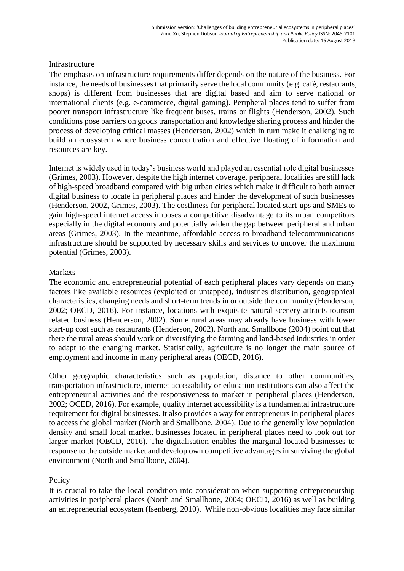## Infrastructure

The emphasis on infrastructure requirements differ depends on the nature of the business. For instance, the needs of businesses that primarily serve the local community (e.g. café, restaurants, shops) is different from businesses that are digital based and aim to serve national or international clients (e.g. e-commerce, digital gaming). Peripheral places tend to suffer from poorer transport infrastructure like frequent buses, trains or flights (Henderson, 2002). Such conditions pose barriers on goods transportation and knowledge sharing process and hinder the process of developing critical masses (Henderson, 2002) which in turn make it challenging to build an ecosystem where business concentration and effective floating of information and resources are key.

Internet is widely used in today's business world and played an essential role digital businesses (Grimes, 2003). However, despite the high internet coverage, peripheral localities are still lack of high-speed broadband compared with big urban cities which make it difficult to both attract digital business to locate in peripheral places and hinder the development of such businesses (Henderson, 2002, Grimes, 2003). The costliness for peripheral located start-ups and SMEs to gain high-speed internet access imposes a competitive disadvantage to its urban competitors especially in the digital economy and potentially widen the gap between peripheral and urban areas (Grimes, 2003). In the meantime, affordable access to broadband telecommunications infrastructure should be supported by necessary skills and services to uncover the maximum potential (Grimes, 2003).

# **Markets**

The economic and entrepreneurial potential of each peripheral places vary depends on many factors like available resources (exploited or untapped), industries distribution, geographical characteristics, changing needs and short-term trends in or outside the community (Henderson, 2002; OECD, 2016). For instance, locations with exquisite natural scenery attracts tourism related business (Henderson, 2002). Some rural areas may already have business with lower start-up cost such as restaurants (Henderson, 2002). North and Smallbone (2004) point out that there the rural areas should work on diversifying the farming and land-based industries in order to adapt to the changing market. Statistically, agriculture is no longer the main source of employment and income in many peripheral areas (OECD, 2016).

Other geographic characteristics such as population, distance to other communities, transportation infrastructure, internet accessibility or education institutions can also affect the entrepreneurial activities and the responsiveness to market in peripheral places (Henderson, 2002; OCED, 2016). For example, quality internet accessibility is a fundamental infrastructure requirement for digital businesses. It also provides a way for entrepreneurs in peripheral places to access the global market (North and Smallbone, 2004). Due to the generally low population density and small local market, businesses located in peripheral places need to look out for larger market (OECD, 2016). The digitalisation enables the marginal located businesses to response to the outside market and develop own competitive advantages in surviving the global environment (North and Smallbone, 2004).

# Policy

It is crucial to take the local condition into consideration when supporting entrepreneurship activities in peripheral places (North and Smallbone, 2004; OECD, 2016) as well as building an entrepreneurial ecosystem (Isenberg, 2010). While non-obvious localities may face similar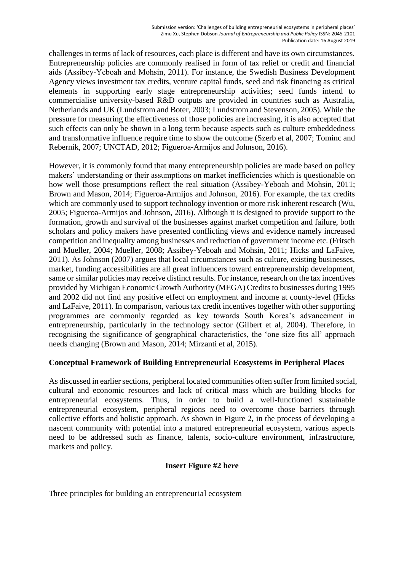challenges in terms of lack of resources, each place is different and have its own circumstances. Entrepreneurship policies are commonly realised in form of tax relief or credit and financial aids (Assibey-Yeboah and Mohsin, 2011). For instance, the Swedish Business Development Agency views investment tax credits, venture capital funds, seed and risk financing as critical elements in supporting early stage entrepreneurship activities; seed funds intend to commercialise university-based R&D outputs are provided in countries such as Australia, Netherlands and UK (Lundstrom and Boter, 2003; Lundstrom and Stevenson, 2005). While the pressure for measuring the effectiveness of those policies are increasing, it is also accepted that such effects can only be shown in a long term because aspects such as culture embeddedness and transformative influence require time to show the outcome (Szerb et al, 2007; Tominc and Rebernik, 2007; UNCTAD, 2012; Figueroa-Armijos and Johnson, 2016).

However, it is commonly found that many entrepreneurship policies are made based on policy makers' understanding or their assumptions on market inefficiencies which is questionable on how well those presumptions reflect the real situation (Assibey-Yeboah and Mohsin, 2011; Brown and Mason, 2014; Figueroa-Armijos and Johnson, 2016). For example, the tax credits which are commonly used to support technology invention or more risk inherent research (Wu, 2005; Figueroa-Armijos and Johnson, 2016). Although it is designed to provide support to the formation, growth and survival of the businesses against market competition and failure, both scholars and policy makers have presented conflicting views and evidence namely increased competition and inequality among businesses and reduction of government income etc. (Fritsch and Mueller, 2004; Mueller, 2008; Assibey-Yeboah and Mohsin, 2011; Hicks and LaFaive, 2011). As Johnson (2007) argues that local circumstances such as culture, existing businesses, market, funding accessibilities are all great influencers toward entrepreneurship development, same or similar policies may receive distinct results. For instance, research on the tax incentives provided by Michigan Economic Growth Authority (MEGA) Credits to businesses during 1995 and 2002 did not find any positive effect on employment and income at county-level (Hicks and LaFaive, 2011). In comparison, various tax credit incentives together with other supporting programmes are commonly regarded as key towards South Korea's advancement in entrepreneurship, particularly in the technology sector (Gilbert et al, 2004). Therefore, in recognising the significance of geographical characteristics, the 'one size fits all' approach needs changing (Brown and Mason, 2014; Mirzanti et al, 2015).

# **Conceptual Framework of Building Entrepreneurial Ecosystems in Peripheral Places**

As discussed in earlier sections, peripheral located communities often suffer from limited social, cultural and economic resources and lack of critical mass which are building blocks for entrepreneurial ecosystems. Thus, in order to build a well-functioned sustainable entrepreneurial ecosystem, peripheral regions need to overcome those barriers through collective efforts and holistic approach. As shown in Figure 2, in the process of developing a nascent community with potential into a matured entrepreneurial ecosystem, various aspects need to be addressed such as finance, talents, socio-culture environment, infrastructure, markets and policy.

# **Insert Figure #2 here**

Three principles for building an entrepreneurial ecosystem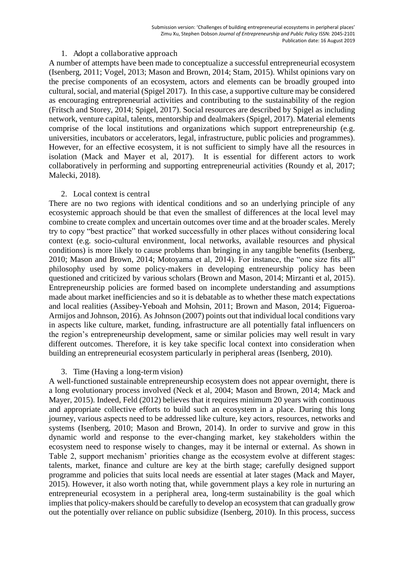#### 1. Adopt a collaborative approach

A number of attempts have been made to conceptualize a successful entrepreneurial ecosystem (Isenberg, 2011; Vogel, 2013; Mason and Brown, 2014; Stam, 2015). Whilst opinions vary on the precise components of an ecosystem, actors and elements can be broadly grouped into cultural, social, and material (Spigel 2017). In this case, a supportive culture may be considered as encouraging entrepreneurial activities and contributing to the sustainability of the region (Fritsch and Storey, 2014; Spigel, 2017). Social resources are described by Spigel as including network, venture capital, talents, mentorship and dealmakers (Spigel, 2017). Material elements comprise of the local institutions and organizations which support entrepreneurship (e.g. universities, incubators or accelerators, legal, infrastructure, public policies and programmes). However, for an effective ecosystem, it is not sufficient to simply have all the resources in isolation (Mack and Mayer et al, 2017). It is essential for different actors to work collaboratively in performing and supporting entrepreneurial activities (Roundy et al, 2017; Malecki, 2018).

## 2. Local context is central

There are no two regions with identical conditions and so an underlying principle of any ecosystemic approach should be that even the smallest of differences at the local level may combine to create complex and uncertain outcomes over time and at the broader scales. Merely try to copy "best practice" that worked successfully in other places without considering local context (e.g. socio-cultural environment, local networks, available resources and physical conditions) is more likely to cause problems than bringing in any tangible benefits (Isenberg, 2010; Mason and Brown, 2014; Motoyama et al, 2014). For instance, the "one size fits all" philosophy used by some policy-makers in developing entreneurship policy has been questioned and criticized by various scholars (Brown and Mason, 2014; Mirzanti et al, 2015). Entrepreneurship policies are formed based on incomplete understanding and assumptions made about market inefficiencies and so it is debatable as to whether these match expectations and local realities (Assibey-Yeboah and Mohsin, 2011; Brown and Mason, 2014; Figueroa-Armijos and Johnson, 2016). As Johnson (2007) points out that individual local conditions vary in aspects like culture, market, funding, infrastructure are all potentially fatal influencers on the region's entrepreneurship development, same or similar policies may well result in vary different outcomes. Therefore, it is key take specific local context into consideration when building an entrepreneurial ecosystem particularly in peripheral areas (Isenberg, 2010).

## 3. Time (Having a long-term vision)

A well-functioned sustainable entrepreneurship ecosystem does not appear overnight, there is a long evolutionary process involved (Neck et al, 2004; Mason and Brown, 2014; Mack and Mayer, 2015). Indeed, Feld (2012) believes that it requires minimum 20 years with continuous and appropriate collective efforts to build such an ecosystem in a place. During this long journey, various aspects need to be addressed like culture, key actors, resources, networks and systems (Isenberg, 2010; Mason and Brown, 2014). In order to survive and grow in this dynamic world and response to the ever-changing market, key stakeholders within the ecosystem need to response wisely to changes, may it be internal or external. As shown in Table 2, support mechanism' priorities change as the ecosystem evolve at different stages: talents, market, finance and culture are key at the birth stage; carefully designed support programme and policies that suits local needs are essential at later stages (Mack and Mayer, 2015). However, it also worth noting that, while government plays a key role in nurturing an entrepreneurial ecosystem in a peripheral area, long-term sustainability is the goal which implies that policy-makers should be carefully to develop an ecosystem that can gradually grow out the potentially over reliance on public subsidize (Isenberg, 2010). In this process, success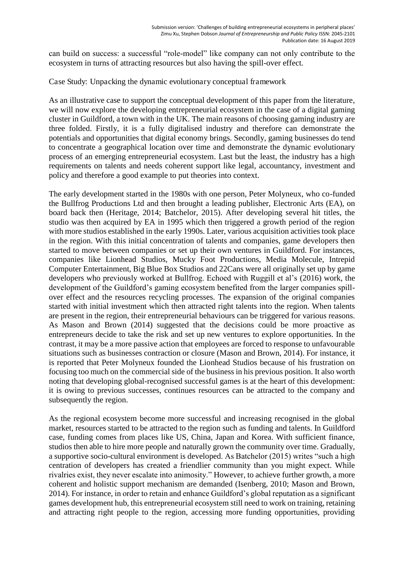can build on success: a successful "role-model" like company can not only contribute to the ecosystem in turns of attracting resources but also having the spill-over effect.

Case Study: Unpacking the dynamic evolutionary conceptual framework

As an illustrative case to support the conceptual development of this paper from the literature, we will now explore the developing entrepreneurial ecosystem in the case of a digital gaming cluster in Guildford, a town with in the UK. The main reasons of choosing gaming industry are three folded. Firstly, it is a fully digitalised industry and therefore can demonstrate the potentials and opportunities that digital economy brings. Secondly, gaming businesses do tend to concentrate a geographical location over time and demonstrate the dynamic evolutionary process of an emerging entrepreneurial ecosystem. Last but the least, the industry has a high requirements on talents and needs coherent support like legal, accountancy, investment and policy and therefore a good example to put theories into context.

The early development started in the 1980s with one person, Peter Molyneux, who co-funded the Bullfrog Productions Ltd and then brought a leading publisher, Electronic Arts (EA), on board back then (Heritage, 2014; Batchelor, 2015). After developing several hit titles, the studio was then acquired by EA in 1995 which then triggered a growth period of the region with more studios established in the early 1990s. Later, various acquisition activities took place in the region. With this initial concentration of talents and companies, game developers then started to move between companies or set up their own ventures in Guildford. For instances, companies like Lionhead Studios, Mucky Foot Productions, Media Molecule, Intrepid Computer Entertainment, Big Blue Box Studios and 22Cans were all originally set up by game developers who previously worked at Bullfrog. Echoed with Ruggill et al's (2016) work, the development of the Guildford's gaming ecosystem benefited from the larger companies spillover effect and the resources recycling processes. The expansion of the original companies started with initial investment which then attracted right talents into the region. When talents are present in the region, their entrepreneurial behaviours can be triggered for various reasons. As Mason and Brown (2014) suggested that the decisions could be more proactive as entrepreneurs decide to take the risk and set up new ventures to explore opportunities. In the contrast, it may be a more passive action that employees are forced to response to unfavourable situations such as businesses contraction or closure (Mason and Brown, 2014). For instance, it is reported that Peter Molyneux founded the Lionhead Studios because of his frustration on focusing too much on the commercial side of the business in his previous position. It also worth noting that developing global-recognised successful games is at the heart of this development: it is owing to previous successes, continues resources can be attracted to the company and subsequently the region.

As the regional ecosystem become more successful and increasing recognised in the global market, resources started to be attracted to the region such as funding and talents. In Guildford case, funding comes from places like US, China, Japan and Korea. With sufficient finance, studios then able to hire more people and naturally grown the community over time. Gradually, a supportive socio-cultural environment is developed. As Batchelor (2015) writes "such a high centration of developers has created a friendlier community than you might expect. While rivalries exist, they never escalate into animosity." However, to achieve further growth, a more coherent and holistic support mechanism are demanded (Isenberg, 2010; Mason and Brown, 2014). For instance, in order to retain and enhance Guildford's global reputation as a significant games development hub, this entrepreneurial ecosystem still need to work on training, retaining and attracting right people to the region, accessing more funding opportunities, providing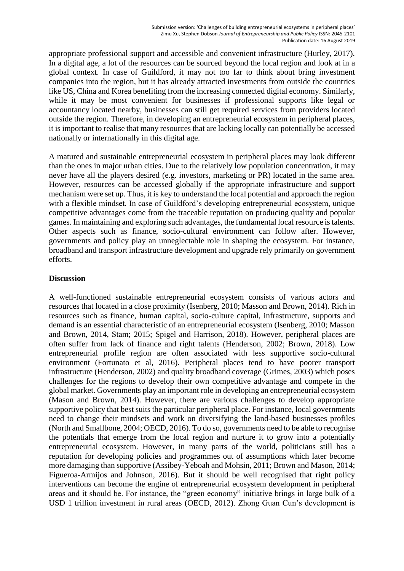appropriate professional support and accessible and convenient infrastructure (Hurley, 2017). In a digital age, a lot of the resources can be sourced beyond the local region and look at in a global context. In case of Guildford, it may not too far to think about bring investment companies into the region, but it has already attracted investments from outside the countries like US, China and Korea benefiting from the increasing connected digital economy. Similarly, while it may be most convenient for businesses if professional supports like legal or accountancy located nearby, businesses can still get required services from providers located outside the region. Therefore, in developing an entrepreneurial ecosystem in peripheral places, it is important to realise that many resources that are lacking locally can potentially be accessed nationally or internationally in this digital age.

A matured and sustainable entrepreneurial ecosystem in peripheral places may look different than the ones in major urban cities. Due to the relatively low population concentration, it may never have all the players desired (e.g. investors, marketing or PR) located in the same area. However, resources can be accessed globally if the appropriate infrastructure and support mechanism were set up. Thus, it is key to understand the local potential and approach the region with a flexible mindset. In case of Guildford's developing entrepreneurial ecosystem, unique competitive advantages come from the traceable reputation on producing quality and popular games. In maintaining and exploring such advantages, the fundamental local resource is talents. Other aspects such as finance, socio-cultural environment can follow after. However, governments and policy play an unneglectable role in shaping the ecosystem. For instance, broadband and transport infrastructure development and upgrade rely primarily on government efforts.

# **Discussion**

A well-functioned sustainable entrepreneurial ecosystem consists of various actors and resources that located in a close proximity (Isenberg, 2010; Masson and Brown, 2014). Rich in resources such as finance, human capital, socio-culture capital, infrastructure, supports and demand is an essential characteristic of an entrepreneurial ecosystem (Isenberg, 2010; Masson and Brown, 2014, Stam; 2015; Spigel and Harrison, 2018). However, peripheral places are often suffer from lack of finance and right talents (Henderson, 2002; Brown, 2018). Low entrepreneurial profile region are often associated with less supportive socio-cultural environment (Fortunato et al, 2016). Peripheral places tend to have poorer transport infrastructure (Henderson, 2002) and quality broadband coverage (Grimes, 2003) which poses challenges for the regions to develop their own competitive advantage and compete in the global market. Governments play an important role in developing an entrepreneurial ecosystem (Mason and Brown, 2014). However, there are various challenges to develop appropriate supportive policy that best suits the particular peripheral place. For instance, local governments need to change their mindsets and work on diversifying the land-based businesses profiles (North and Smallbone, 2004; OECD, 2016). To do so, governments need to be able to recognise the potentials that emerge from the local region and nurture it to grow into a potentially entrepreneurial ecosystem. However, in many parts of the world, politicians still has a reputation for developing policies and programmes out of assumptions which later become more damaging than supportive (Assibey-Yeboah and Mohsin, 2011; Brown and Mason, 2014; Figueroa-Armijos and Johnson, 2016). But it should be well recognised that right policy interventions can become the engine of entrepreneurial ecosystem development in peripheral areas and it should be. For instance, the "green economy" initiative brings in large bulk of a USD 1 trillion investment in rural areas (OECD, 2012). Zhong Guan Cun's development is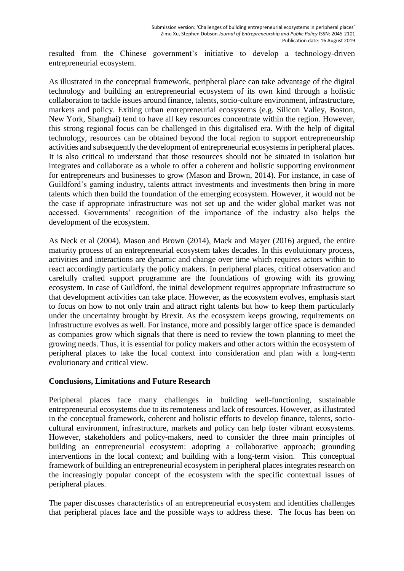resulted from the Chinese government's initiative to develop a technology-driven entrepreneurial ecosystem.

As illustrated in the conceptual framework, peripheral place can take advantage of the digital technology and building an entrepreneurial ecosystem of its own kind through a holistic collaboration to tackle issues around finance, talents, socio-culture environment, infrastructure, markets and policy. Exiting urban entrepreneurial ecosystems (e.g. Silicon Valley, Boston, New York, Shanghai) tend to have all key resources concentrate within the region. However, this strong regional focus can be challenged in this digitalised era. With the help of digital technology, resources can be obtained beyond the local region to support entrepreneurship activities and subsequently the development of entrepreneurial ecosystems in peripheral places. It is also critical to understand that those resources should not be situated in isolation but integrates and collaborate as a whole to offer a coherent and holistic supporting environment for entrepreneurs and businesses to grow (Mason and Brown, 2014). For instance, in case of Guildford's gaming industry, talents attract investments and investments then bring in more talents which then build the foundation of the emerging ecosystem. However, it would not be the case if appropriate infrastructure was not set up and the wider global market was not accessed. Governments' recognition of the importance of the industry also helps the development of the ecosystem.

As Neck et al (2004), Mason and Brown (2014), Mack and Mayer (2016) argued, the entire maturity process of an entrepreneurial ecosystem takes decades. In this evolutionary process, activities and interactions are dynamic and change over time which requires actors within to react accordingly particularly the policy makers. In peripheral places, critical observation and carefully crafted support programme are the foundations of growing with its growing ecosystem. In case of Guildford, the initial development requires appropriate infrastructure so that development activities can take place. However, as the ecosystem evolves, emphasis start to focus on how to not only train and attract right talents but how to keep them particularly under the uncertainty brought by Brexit. As the ecosystem keeps growing, requirements on infrastructure evolves as well. For instance, more and possibly larger office space is demanded as companies grow which signals that there is need to review the town planning to meet the growing needs. Thus, it is essential for policy makers and other actors within the ecosystem of peripheral places to take the local context into consideration and plan with a long-term evolutionary and critical view.

## **Conclusions, Limitations and Future Research**

Peripheral places face many challenges in building well-functioning, sustainable entrepreneurial ecosystems due to its remoteness and lack of resources. However, as illustrated in the conceptual framework, coherent and holistic efforts to develop finance, talents, sociocultural environment, infrastructure, markets and policy can help foster vibrant ecosystems. However, stakeholders and policy-makers, need to consider the three main principles of building an entrepreneurial ecosystem: adopting a collaborative approach; grounding interventions in the local context; and building with a long-term vision. This conceptual framework of building an entrepreneurial ecosystem in peripheral places integrates research on the increasingly popular concept of the ecosystem with the specific contextual issues of peripheral places.

The paper discusses characteristics of an entrepreneurial ecosystem and identifies challenges that peripheral places face and the possible ways to address these. The focus has been on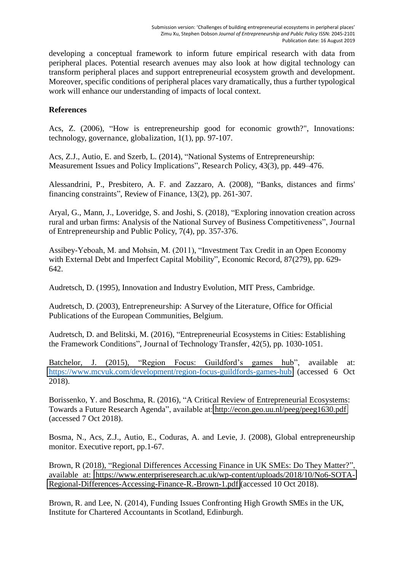developing a conceptual framework to inform future empirical research with data from peripheral places. Potential research avenues may also look at how digital technology can transform peripheral places and support entrepreneurial ecosystem growth and development. Moreover, specific conditions of peripheral places vary dramatically, thus a further typological work will enhance our understanding of impacts of local context.

# **References**

Acs, Z. (2006), "How is entrepreneurship good for economic growth?", Innovations: technology, governance, globalization, 1(1), pp. 97-107.

Acs, Z.J., Autio, E. and Szerb, L. (2014), "National Systems of Entrepreneurship: Measurement Issues and Policy Implications", Research Policy, 43(3), pp. 449–476.

Alessandrini, P., Presbitero, A. F. and Zazzaro, A. (2008), "Banks, distances and firms' financing constraints", Review of Finance, 13(2), pp. 261-307.

Aryal, G., Mann, J., Loveridge, S. and Joshi, S. (2018), "Exploring innovation creation across rural and urban firms: Analysis of the National Survey of Business Competitiveness", Journal of Entrepreneurship and Public Policy, 7(4), pp. 357-376.

Assibey-Yeboah, M. and Mohsin, M. (2011), "Investment Tax Credit in an Open Economy with External Debt and Imperfect Capital Mobility", Economic Record, 87(279), pp. 629- 642.

Audretsch, D. (1995), Innovation and Industry Evolution, MIT Press, Cambridge.

Audretsch, D. (2003), Entrepreneurship: A Survey of the Literature, Office for Official Publications of the European Communities, Belgium.

Audretsch, D. and Belitski, M. (2016), "Entrepreneurial Ecosystems in Cities: Establishing the Framework Conditions", Journal of Technology Transfer, 42(5), pp. 1030-1051.

Batchelor, J. (2015), "Region Focus: Guildford's games hub", available at: <https://www.mcvuk.com/development/region-focus-guildfords-games-hub> (accessed 6 Oct 2018).

Borissenko, Y. and Boschma, R. (2016), "A Critical Review of Entrepreneurial Ecosystems: Towards a Future Research Agenda", available at: <http://econ.geo.uu.nl/peeg/peeg1630.pdf> (accessed 7 Oct 2018).

Bosma, N., Acs, Z.J., Autio, E., Coduras, A. and Levie, J. (2008), Global entrepreneurship monitor. Executive report, pp.1-67.

Brown, R (2018), "Regional Differences Accessing Finance in UK SMEs: Do They Matter?", available at: [https://www.enterpriseresearch.ac.uk/wp-content/uploads/2018/10/No6-SOTA-](https://www.enterpriseresearch.ac.uk/wp-content/uploads/2018/10/No6-SOTA-Regional-Differences-Accessing-Finance-R.-Brown-1.pdf)[Regional-Differences-Accessing-Finance-R.-Brown-1.pdf](https://www.enterpriseresearch.ac.uk/wp-content/uploads/2018/10/No6-SOTA-Regional-Differences-Accessing-Finance-R.-Brown-1.pdf) (accessed 10 Oct 2018).

Brown, R. and Lee, N. (2014), Funding Issues Confronting High Growth SMEs in the UK, Institute for Chartered Accountants in Scotland, Edinburgh.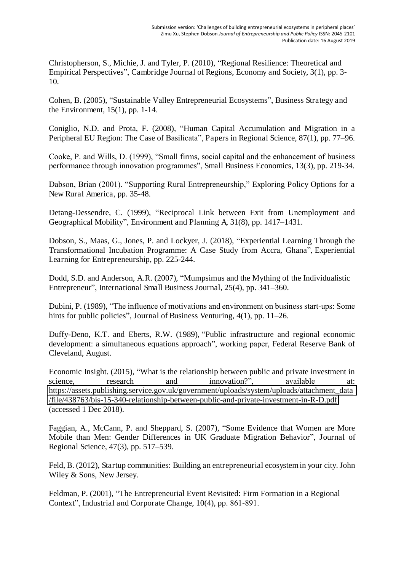Christopherson, S., Michie, J. and Tyler, P. (2010), "Regional Resilience: Theoretical and Empirical Perspectives", Cambridge Journal of Regions, Economy and Society, 3(1), pp. 3- 10.

Cohen, B. (2005), "Sustainable Valley Entrepreneurial Ecosystems", Business Strategy and the Environment, 15(1), pp. 1-14.

Coniglio, N.D. and Prota, F. (2008), "Human Capital Accumulation and Migration in a Peripheral EU Region: The Case of Basilicata", Papers in Regional Science, 87(1), pp. 77–96.

Cooke, P. and Wills, D. (1999), "Small firms, social capital and the enhancement of business performance through innovation programmes", Small Business Economics, 13(3), pp. 219-34.

Dabson, Brian (2001). "Supporting Rural Entrepreneurship," Exploring Policy Options for a New Rural America, pp. 35-48.

Detang-Dessendre, C. (1999), "Reciprocal Link between Exit from Unemployment and Geographical Mobility", Environment and Planning A, 31(8), pp. 1417–1431.

Dobson, S., Maas, G., Jones, P. and Lockyer, J. (2018), "Experiential Learning Through the Transformational Incubation Programme: A Case Study from Accra, Ghana", Experiential Learning for Entrepreneurship, pp. 225-244.

Dodd, S.D. and Anderson, A.R. (2007), "Mumpsimus and the Mything of the Individualistic Entrepreneur", International Small Business Journal, 25(4), pp. 341–360.

Dubini, P. (1989), "The influence of motivations and environment on business start-ups: Some hints for public policies", Journal of Business Venturing, 4(1), pp. 11–26.

Duffy-Deno, K.T. and Eberts, R.W. (1989), "Public infrastructure and regional economic development: a simultaneous equations approach", working paper, Federal Reserve Bank of Cleveland, August.

Economic Insight. (2015), "What is the relationship between public and private investment in science, research and innovation?", available at: [https://assets.publishing.service.gov.uk/government/uploads/system/uploads/attachment\\_data](https://assets.publishing.service.gov.uk/government/uploads/system/uploads/attachment_data/file/438763/bis-15-340-relationship-between-public-and-private-investment-in-R-D.pdf) [/file/438763/bis-15-340-relationship-between-public-and-private-investment-in-R-D.pdf](https://assets.publishing.service.gov.uk/government/uploads/system/uploads/attachment_data/file/438763/bis-15-340-relationship-between-public-and-private-investment-in-R-D.pdf)  (accessed 1 Dec 2018).

Faggian, A., McCann, P. and Sheppard, S. (2007), "Some Evidence that Women are More Mobile than Men: Gender Differences in UK Graduate Migration Behavior", Journal of Regional Science, 47(3), pp. 517–539.

Feld, B. (2012), Startup communities: Building an entrepreneurial ecosystem in your city. John Wiley & Sons, New Jersey.

Feldman, P. (2001), "The Entrepreneurial Event Revisited: Firm Formation in a Regional Context", Industrial and Corporate Change, 10(4), pp. 861-891.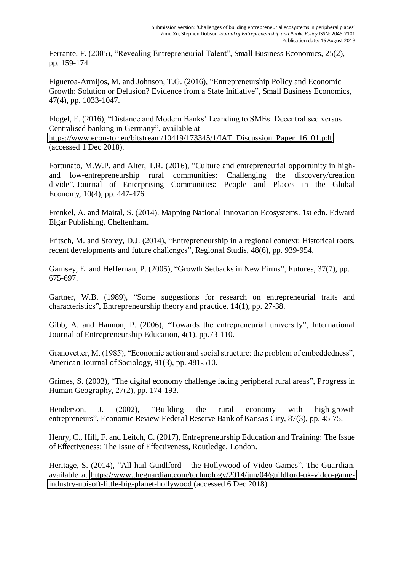Ferrante, F. (2005), "Revealing Entrepreneurial Talent", Small Business Economics, 25(2), pp. 159-174.

Figueroa-Armijos, M. and Johnson, T.G. (2016), "Entrepreneurship Policy and Economic Growth: Solution or Delusion? Evidence from a State Initiative", Small Business Economics, 47(4), pp. 1033-1047.

Flogel, F. (2016), "Distance and Modern Banks' Leanding to SMEs: Decentralised versus Centralised banking in Germany", available at https://www.econstor.eu/bitstream/10419/173345/1/IAT\_Discussion\_Paper\_16\_01.pdf

(accessed 1 Dec 2018).

Fortunato, M.W.P. and Alter, T.R. (2016), "Culture and entrepreneurial opportunity in highand low-entrepreneurship rural communities: Challenging the discovery/creation divide", Journal of Enterprising Communities: People and Places in the Global Economy, 10(4), pp. 447-476.

Frenkel, A. and Maital, S. (2014). Mapping National Innovation Ecosystems. 1st edn. Edward Elgar Publishing, Cheltenham.

Fritsch, M. and Storey, D.J. (2014), "Entrepreneurship in a regional context: Historical roots, recent developments and future challenges", Regional Studis, 48(6), pp. 939-954.

Garnsey, E. and Heffernan, P. (2005), "Growth Setbacks in New Firms", Futures, 37(7), pp. 675-697.

Gartner, W.B. (1989), "Some suggestions for research on entrepreneurial traits and characteristics", Entrepreneurship theory and practice, 14(1), pp. 27-38.

Gibb, A. and Hannon, P. (2006), "Towards the entrepreneurial university", International Journal of Entrepreneurship Education, 4(1), pp.73-110.

Granovetter, M. (1985), "Economic action and social structure: the problem of embeddedness", American Journal of Sociology, 91(3), pp. 481-510.

Grimes, S. (2003), "The digital economy challenge facing peripheral rural areas", Progress in Human Geography, 27(2), pp. 174-193.

Henderson, J. (2002), "Building the rural economy with high-growth entrepreneurs", Economic Review-Federal Reserve Bank of Kansas City, 87(3), pp. 45-75.

Henry, C., Hill, F. and Leitch, C. (2017), Entrepreneurship Education and Training: The Issue of Effectiveness: The Issue of Effectiveness, Routledge, London.

Heritage, S. (2014), "All hail Guidlford – the Hollywood of Video Games", The Guardian, available at [https://www.theguardian.com/technology/2014/jun/04/guildford-uk-video-game](https://www.theguardian.com/technology/2014/jun/04/guildford-uk-video-game-industry-ubisoft-little-big-planet-hollywood)[industry-ubisoft-little-big-planet-hollywood](https://www.theguardian.com/technology/2014/jun/04/guildford-uk-video-game-industry-ubisoft-little-big-planet-hollywood) (accessed 6 Dec 2018)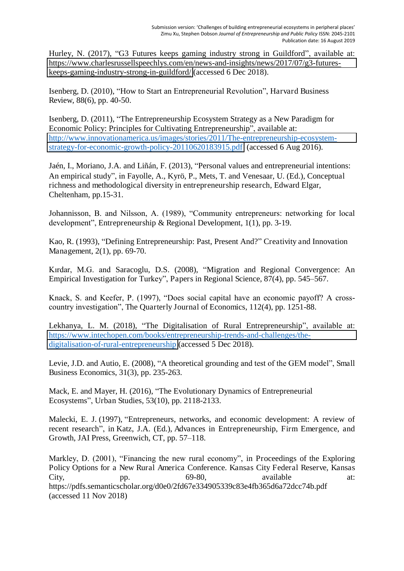Hurley, N. (2017), "G3 Futures keeps gaming industry strong in Guildford", available at: [https://www.charlesrussellspeechlys.com/en/news-and-insights/news/2017/07/g3-futures](https://www.charlesrussellspeechlys.com/en/news-and-insights/news/2017/07/g3-futures-keeps-gaming-industry-strong-in-guildford/)[keeps-gaming-industry-strong-in-guildford/](https://www.charlesrussellspeechlys.com/en/news-and-insights/news/2017/07/g3-futures-keeps-gaming-industry-strong-in-guildford/) (accessed 6 Dec 2018).

Isenberg, D. (2010), "How to Start an Entrepreneurial Revolution", Harvard Business Review, 88(6), pp. 40-50.

Isenberg, D. (2011), "The Entrepreneurship Ecosystem Strategy as a New Paradigm for Economic Policy: Principles for Cultivating Entrepreneurship", available at: [http://www.innovationamerica.us/images/stories/2011/The-entrepreneurship-ecosystem](http://www.innovationamerica.us/images/stories/2011/The-entrepreneurship-ecosystem-strategy-for-economic-growth-policy-20110620183915.pdf)[strategy-for-economic-growth-policy-20110620183915.pdf](http://www.innovationamerica.us/images/stories/2011/The-entrepreneurship-ecosystem-strategy-for-economic-growth-policy-20110620183915.pdf) (accessed 6 Aug 2016).

Jaén, I., Moriano, J.A. and Liñán, F. (2013), "Personal values and entrepreneurial intentions: An empirical study", in Fayolle, A., Kyrö, P., Mets, T. and Venesaar, U. (Ed.), Conceptual richness and methodological diversity in entrepreneurship research, Edward Elgar, Cheltenham, pp.15-31.

Johannisson, B. and Nilsson, A. (1989), "Community entrepreneurs: networking for local development", Entrepreneurship & Regional Development, 1(1), pp. 3-19.

Kao, R. (1993), "Defining Entrepreneurship: Past, Present And?" Creativity and Innovation Management, 2(1), pp. 69-70.

Kırdar, M.G. and Saracoglu, D.S. (2008), "Migration and Regional Convergence: An Empirical Investigation for Turkey", Papers in Regional Science, 87(4), pp. 545–567.

Knack, S. and Keefer, P. (1997), "Does social capital have an economic payoff? A crosscountry investigation", The Quarterly Journal of Economics, 112(4), pp. 1251-88.

Lekhanya, L. M. (2018), "The Digitalisation of Rural Entrepreneurship", available at: [https://www.intechopen.com/books/entrepreneurship-trends-and-challenges/the](https://www.intechopen.com/books/entrepreneurship-trends-and-challenges/the-digitalisation-of-rural-entrepreneurship)[digitalisation-of-rural-entrepreneurship](https://www.intechopen.com/books/entrepreneurship-trends-and-challenges/the-digitalisation-of-rural-entrepreneurship) (accessed 5 Dec 2018).

Levie, J.D. and Autio, E. (2008), "A theoretical grounding and test of the GEM model", Small Business Economics, 31(3), pp. 235-263.

Mack, E. and Mayer, H. (2016), "The Evolutionary Dynamics of Entrepreneurial Ecosystems", Urban Studies, 53(10), pp. 2118-2133.

Malecki, E. J. (1997), "Entrepreneurs, networks, and economic development: A review of recent research", in Katz, J.A. (Ed.), Advances in Entrepreneurship, Firm Emergence, and Growth, JAI Press, Greenwich, CT, pp. 57–118.

Markley, D. (2001), "Financing the new rural economy", in Proceedings of the Exploring Policy Options for a New Rural America Conference. Kansas City Federal Reserve, Kansas City, pp. 69-80, available at: https://pdfs.semanticscholar.org/d0e0/2fd67e334905339c83e4fb365d6a72dcc74b.pdf (accessed 11 Nov 2018)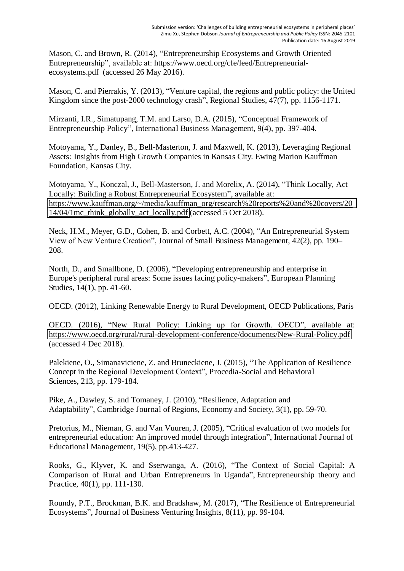Mason, C. and Brown, R. (2014), "Entrepreneurship Ecosystems and Growth Oriented Entrepreneurship", available at: https://www.oecd.org/cfe/leed/Entrepreneurialecosystems.pdf (accessed 26 May 2016).

Mason, C. and Pierrakis, Y. (2013), "Venture capital, the regions and public policy: the United Kingdom since the post-2000 technology crash", Regional Studies, 47(7), pp. 1156-1171.

Mirzanti, I.R., Simatupang, T.M. and Larso, D.A. (2015), "Conceptual Framework of Entrepreneurship Policy", International Business Management, 9(4), pp. 397-404.

Motoyama, Y., Danley, B., Bell-Masterton, J. and Maxwell, K. (2013), Leveraging Regional Assets: Insights from High Growth Companies in Kansas City. Ewing Marion Kauffman Foundation, Kansas City.

Motoyama, Y., Konczal, J., Bell-Masterson, J. and Morelix, A. (2014), "Think Locally, Act Locally: Building a Robust Entrepreneurial Ecosystem", available at: [https://www.kauffman.org/~/media/kauffman\\_org/research%20reports%20and%20covers/20](https://www.kauffman.org/~/media/kauffman_org/research%20reports%20and%20covers/2014/04/1mc_think_globally_act_locally.pdf) [14/04/1mc\\_think\\_globally\\_act\\_locally.pdf](https://www.kauffman.org/~/media/kauffman_org/research%20reports%20and%20covers/2014/04/1mc_think_globally_act_locally.pdf) (accessed 5 Oct 2018).

Neck, H.M., Meyer, G.D., Cohen, B. and Corbett, A.C. (2004), "An Entrepreneurial System View of New Venture Creation", Journal of Small Business Management, 42(2), pp. 190– 208.

North, D., and Smallbone, D. (2006), "Developing entrepreneurship and enterprise in Europe's peripheral rural areas: Some issues facing policy-makers", European Planning Studies, 14(1), pp. 41-60.

OECD. (2012), Linking Renewable Energy to Rural Development, OECD Publications, Paris

OECD. (2016), "New Rural Policy: Linking up for Growth. OECD", available at: <https://www.oecd.org/rural/rural-development-conference/documents/New-Rural-Policy.pdf> (accessed 4 Dec 2018).

Palekiene, O., Simanaviciene, Z. and Bruneckiene, J. (2015), "The Application of Resilience Concept in the Regional Development Context", Procedia-Social and Behavioral Sciences, 213, pp. 179-184.

Pike, A., Dawley, S. and Tomaney, J. (2010), "Resilience, Adaptation and Adaptability", Cambridge Journal of Regions, Economy and Society, 3(1), pp. 59-70.

Pretorius, M., Nieman, G. and Van Vuuren, J. (2005), "Critical evaluation of two models for entrepreneurial education: An improved model through integration", International Journal of Educational Management, 19(5), pp.413-427.

Rooks, G., Klyver, K. and Sserwanga, A. (2016), "The Context of Social Capital: A Comparison of Rural and Urban Entrepreneurs in Uganda", Entrepreneurship theory and Practice, 40(1), pp. 111-130.

Roundy, P.T., Brockman, B.K. and Bradshaw, M. (2017), "The Resilience of Entrepreneurial Ecosystems", Journal of Business Venturing Insights, 8(11), pp. 99-104.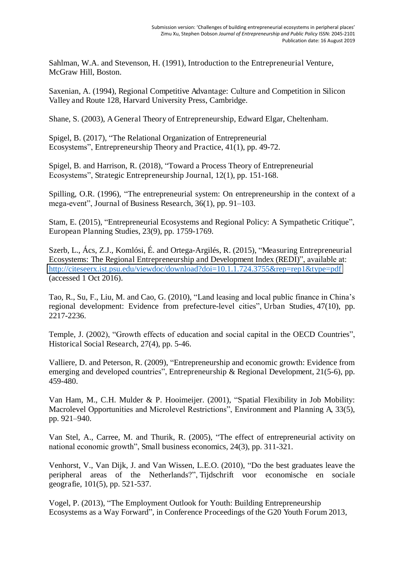Sahlman, W.A. and Stevenson, H. (1991), Introduction to the Entrepreneurial Venture, McGraw Hill, Boston.

Saxenian, A. (1994), Regional Competitive Advantage: Culture and Competition in Silicon Valley and Route 128, Harvard University Press, Cambridge.

Shane, S. (2003), A General Theory of Entrepreneurship, Edward Elgar, Cheltenham.

Spigel, B. (2017), "The Relational Organization of Entrepreneurial Ecosystems", Entrepreneurship Theory and Practice, 41(1), pp. 49-72.

Spigel, B. and Harrison, R. (2018), "Toward a Process Theory of Entrepreneurial Ecosystems", Strategic Entrepreneurship Journal, 12(1), pp. 151-168.

Spilling, O.R. (1996), "The entrepreneurial system: On entrepreneurship in the context of a mega-event", Journal of Business Research, 36(1), pp. 91–103.

Stam, E. (2015), "Entrepreneurial Ecosystems and Regional Policy: A Sympathetic Critique", European Planning Studies, 23(9), pp. 1759-1769.

Szerb, L., Ács, Z.J., Komlósi, É. and Ortega-Argilés, R. (2015), "Measuring Entrepreneurial Ecosystems: The Regional Entrepreneurship and Development Index (REDI)", available at: <http://citeseerx.ist.psu.edu/viewdoc/download?doi=10.1.1.724.3755&rep=rep1&type=pdf> (accessed 1 Oct 2016).

Tao, R., Su, F., Liu, M. and Cao, G. (2010), "Land leasing and local public finance in China's regional development: Evidence from prefecture-level cities", Urban Studies, 47(10), pp. 2217-2236.

Temple, J. (2002), "Growth effects of education and social capital in the OECD Countries", Historical Social Research, 27(4), pp. 5-46.

Valliere, D. and Peterson, R. (2009), "Entrepreneurship and economic growth: Evidence from emerging and developed countries", Entrepreneurship & Regional Development, 21(5-6), pp. 459-480.

Van Ham, M., C.H. Mulder & P. Hooimeijer. (2001), "Spatial Flexibility in Job Mobility: Macrolevel Opportunities and Microlevel Restrictions", Environment and Planning A, 33(5), pp. 921–940.

Van Stel, A., Carree, M. and Thurik, R. (2005), "The effect of entrepreneurial activity on national economic growth", Small business economics, 24(3), pp. 311-321.

Venhorst, V., Van Dijk, J. and Van Wissen, L.E.O. (2010), "Do the best graduates leave the peripheral areas of the Netherlands?", Tijdschrift voor economische en sociale geografie, 101(5), pp. 521-537.

Vogel, P. (2013), "The Employment Outlook for Youth: Building Entrepreneurship Ecosystems as a Way Forward", in Conference Proceedings of the G20 Youth Forum 2013,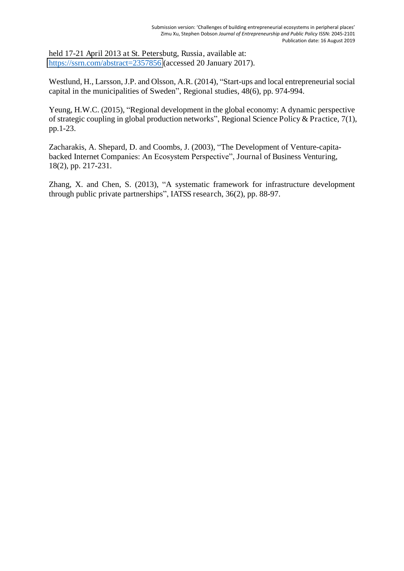held 17-21 April 2013 at St. Petersbutg, Russia, available at: <https://ssrn.com/abstract=2357856>(accessed 20 January 2017).

Westlund, H., Larsson, J.P. and Olsson, A.R. (2014), "Start-ups and local entrepreneurial social capital in the municipalities of Sweden", Regional studies, 48(6), pp. 974-994.

Yeung, H.W.C. (2015), "Regional development in the global economy: A dynamic perspective of strategic coupling in global production networks", Regional Science Policy & Practice, 7(1), pp.1-23.

Zacharakis, A. Shepard, D. and Coombs, J. (2003), "The Development of Venture-capitabacked Internet Companies: An Ecosystem Perspective", Journal of Business Venturing, 18(2), pp. 217-231.

Zhang, X. and Chen, S. (2013), "A systematic framework for infrastructure development through public private partnerships", IATSS research, 36(2), pp. 88-97.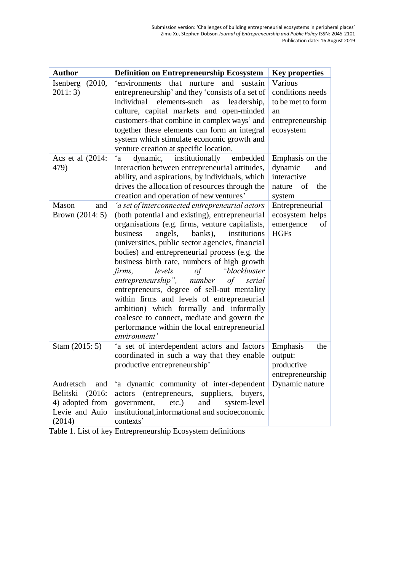| <b>Author</b>                                                                         | <b>Definition on Entrepreneurship Ecosystem</b>                                                                                                                                                                                                                                                                                                                                                                                                                                                                                                                                                                                                                                                               | <b>Key properties</b>                                                                   |
|---------------------------------------------------------------------------------------|---------------------------------------------------------------------------------------------------------------------------------------------------------------------------------------------------------------------------------------------------------------------------------------------------------------------------------------------------------------------------------------------------------------------------------------------------------------------------------------------------------------------------------------------------------------------------------------------------------------------------------------------------------------------------------------------------------------|-----------------------------------------------------------------------------------------|
| Isenberg<br>(2010,<br>2011:3                                                          | that<br>'environments<br>nurture<br>sustain<br>and<br>entrepreneurship' and they 'consists of a set of<br>individual<br>elements-such as<br>leadership,<br>culture, capital markets and open-minded<br>customers-that combine in complex ways' and<br>together these elements can form an integral<br>system which stimulate economic growth and<br>venture creation at specific location.                                                                                                                                                                                                                                                                                                                    | Various<br>conditions needs<br>to be met to form<br>an<br>entrepreneurship<br>ecosystem |
| Acs et al (2014:<br>479)                                                              | $\mathbf{a}$<br>institutionally<br>dynamic,<br>embedded<br>interaction between entrepreneurial attitudes,<br>ability, and aspirations, by individuals, which<br>drives the allocation of resources through the<br>creation and operation of new ventures'                                                                                                                                                                                                                                                                                                                                                                                                                                                     | Emphasis on the<br>dynamic<br>and<br>interactive<br>of<br>nature<br>the<br>system       |
| Mason<br>and<br>Brown (2014: 5)                                                       | 'a set of interconnected entrepreneurial actors<br>(both potential and existing), entrepreneurial<br>organisations (e.g. firms, venture capitalists,<br>banks),<br>institutions<br>business<br>angels,<br>(universities, public sector agencies, financial<br>bodies) and entrepreneurial process (e.g. the<br>business birth rate, numbers of high growth<br>"blockbuster<br>firms,<br>levels<br>$\sigma f$<br>entrepreneurship", number<br>of serial<br>entrepreneurs, degree of sell-out mentality<br>within firms and levels of entrepreneurial<br>ambition) which formally and informally<br>coalesce to connect, mediate and govern the<br>performance within the local entrepreneurial<br>environment' | Entrepreneurial<br>ecosystem helps<br>emergence<br>of<br><b>HGFs</b>                    |
| Stam $(2015:5)$                                                                       | 'a set of interdependent actors and factors<br>coordinated in such a way that they enable<br>productive entrepreneurship'                                                                                                                                                                                                                                                                                                                                                                                                                                                                                                                                                                                     | Emphasis<br>the<br>output:<br>productive<br>entrepreneurship                            |
| Audretsch<br>and<br>Belitski<br>(2016)<br>4) adopted from<br>Levie and Auio<br>(2014) | 'a dynamic community of inter-dependent<br>(entrepreneurs, suppliers, buyers,<br>actors<br>and<br>government,<br>$etc.$ )<br>system-level<br>institutional, informational and socioeconomic<br>contexts'                                                                                                                                                                                                                                                                                                                                                                                                                                                                                                      | Dynamic nature                                                                          |

Table 1. List of key Entrepreneurship Ecosystem definitions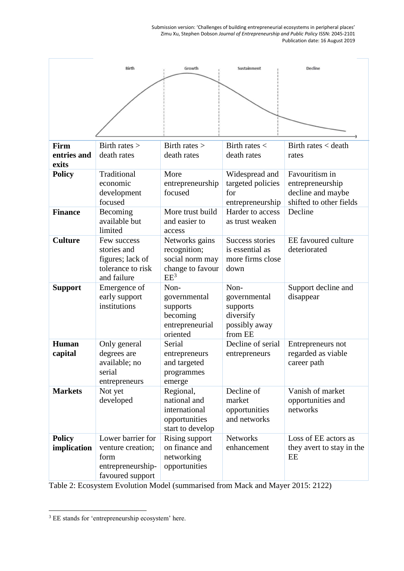Submission version: 'Challenges of building entrepreneurial ecosystems in peripheral places' Zimu Xu, Stephen Dobson *Journal of Entrepreneurship and Public Policy* ISSN: 2045-2101 Publication date: 16 August 2019

| <b>Birth</b>                 |                                                                                         | Growth                                                                          | Sustainment                                                               | Decline                                                                            |
|------------------------------|-----------------------------------------------------------------------------------------|---------------------------------------------------------------------------------|---------------------------------------------------------------------------|------------------------------------------------------------------------------------|
|                              |                                                                                         |                                                                                 |                                                                           |                                                                                    |
| Firm<br>entries and<br>exits | Birth rates $>$<br>death rates                                                          | Birth rates $>$<br>death rates                                                  | Birth rates $<$<br>death rates                                            | Birth rates < death<br>rates                                                       |
| <b>Policy</b>                | Traditional<br>economic<br>development<br>focused                                       | More<br>entrepreneurship<br>focused                                             | Widespread and<br>targeted policies<br>for<br>entrepreneurship            | Favouritism in<br>entrepreneurship<br>decline and maybe<br>shifted to other fields |
| <b>Finance</b>               | Becoming<br>available but<br>limited                                                    | More trust build<br>and easier to<br>access                                     | Harder to access<br>as trust weaken                                       | Decline                                                                            |
| <b>Culture</b>               | Few success<br>stories and<br>figures; lack of<br>tolerance to risk<br>and failure      | Networks gains<br>recognition;<br>social norm may<br>change to favour<br>$EE^3$ | Success stories<br>is essential as<br>more firms close<br>down            | EE favoured culture<br>deteriorated                                                |
| <b>Support</b>               | Emergence of<br>early support<br>institutions                                           | Non-<br>governmental<br>supports<br>becoming<br>entrepreneurial<br>oriented     | Non-<br>governmental<br>supports<br>diversify<br>possibly away<br>from EE | Support decline and<br>disappear                                                   |
| Human<br>capital             | Only general<br>degrees are<br>available; no<br>serial<br>entrepreneurs                 | Serial<br>entrepreneurs<br>and targeted<br>programmes<br>emerge                 | Decline of serial<br>entrepreneurs                                        | Entrepreneurs not<br>regarded as viable<br>career path                             |
| <b>Markets</b>               | Not yet<br>developed                                                                    | Regional,<br>national and<br>international<br>opportunities<br>start to develop | Decline of<br>market<br>opportunities<br>and networks                     | Vanish of market<br>opportunities and<br>networks                                  |
| <b>Policy</b><br>implication | Lower barrier for<br>venture creation;<br>form<br>entrepreneurship-<br>favoured support | Rising support<br>on finance and<br>networking<br>opportunities                 | <b>Networks</b><br>enhancement                                            | Loss of EE actors as<br>they avert to stay in the<br>EE                            |

Table 2: Ecosystem Evolution Model (summarised from Mack and Mayer 2015: 2122)

<u>.</u>

 $3$  EE stands for 'entrepreneurship ecosystem' here.